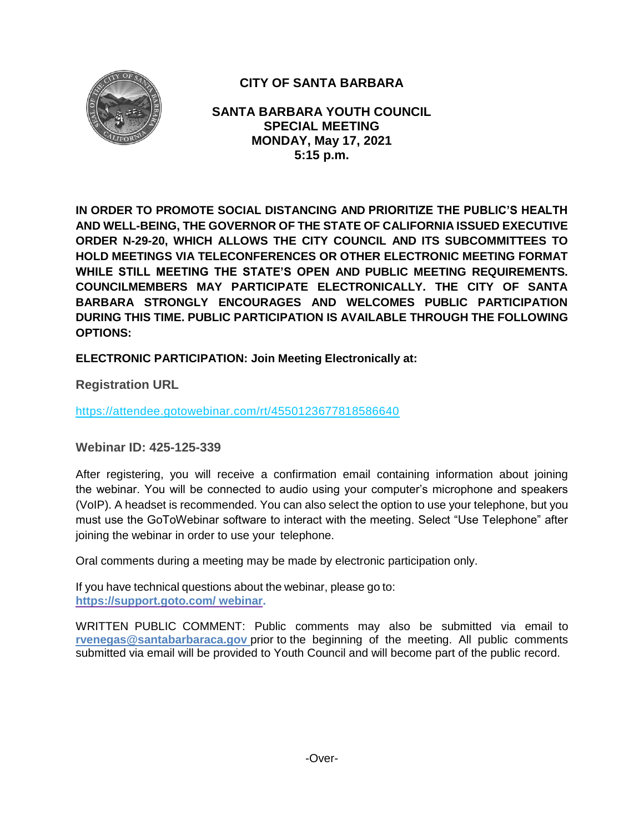

# **CITY OF SANTA BARBARA**

**SANTA BARBARA YOUTH COUNCIL SPECIAL MEETING MONDAY, May 17, 2021 5:15 p.m.**

**IN ORDER TO PROMOTE SOCIAL DISTANCING AND PRIORITIZE THE PUBLIC'S HEALTH AND WELL-BEING, THE GOVERNOR OF THE STATE OF CALIFORNIA ISSUED EXECUTIVE ORDER N-29-20, WHICH ALLOWS THE CITY COUNCIL AND ITS SUBCOMMITTEES TO HOLD MEETINGS VIA TELECONFERENCES OR OTHER ELECTRONIC MEETING FORMAT WHILE STILL MEETING THE STATE'S OPEN AND PUBLIC MEETING REQUIREMENTS. COUNCILMEMBERS MAY PARTICIPATE ELECTRONICALLY. THE CITY OF SANTA BARBARA STRONGLY ENCOURAGES AND WELCOMES PUBLIC PARTICIPATION DURING THIS TIME. PUBLIC PARTICIPATION IS AVAILABLE THROUGH THE FOLLOWING OPTIONS:**

**ELECTRONIC PARTICIPATION: Join Meeting Electronically at:** 

**Registration URL** 

<https://attendee.gotowebinar.com/rt/4550123677818586640>

**Webinar ID: 425-125-339**

After registering, you will receive a confirmation email containing information about joining the webinar. You will be connected to audio using your computer's microphone and speakers (VoIP). A headset is recommended. You can also select the option to use your telephone, but you must use the GoToWebinar software to interact with the meeting. Select "Use Telephone" after joining the webinar in order to use your telephone.

Oral comments during a meeting may be made by electronic participation only.

If you have technical questions about the webinar, please go to: **https://support.goto.com/ webinar.**

[WRITTEN PUBLIC COMMENT:](mailto:rvenegas@santabarbaraca.gov) Public comments may also be submitted via email to **[rvenegas@santabarbaraca.gov](mailto:rvenegas@santabarbaraca.gov)** prior to the beginning of the meeting. All public comments submitted via email will be provided to Youth Council and will become part of the public record.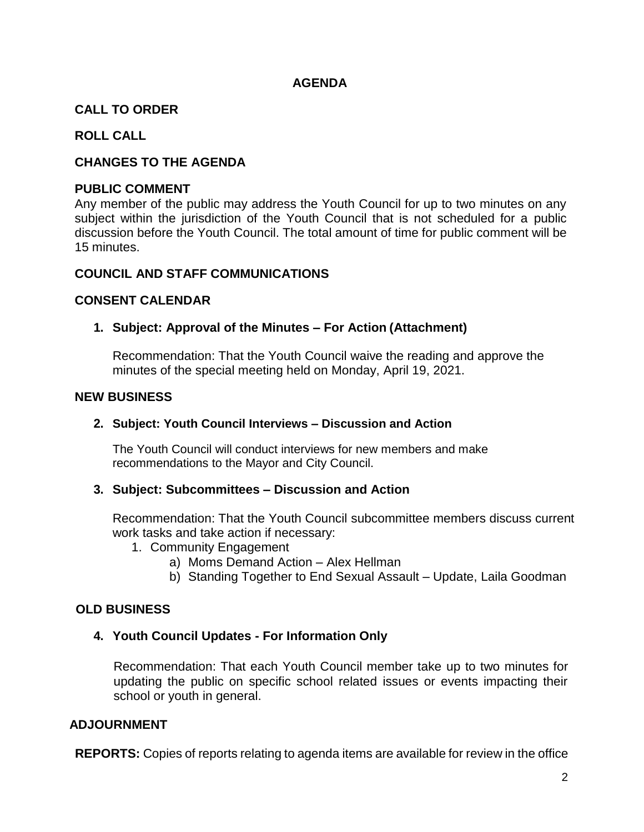#### **AGENDA**

## **CALL TO ORDER**

## **ROLL CALL**

#### **CHANGES TO THE AGENDA**

#### **PUBLIC COMMENT**

Any member of the public may address the Youth Council for up to two minutes on any subject within the jurisdiction of the Youth Council that is not scheduled for a public discussion before the Youth Council. The total amount of time for public comment will be 15 minutes.

#### **COUNCIL AND STAFF COMMUNICATIONS**

#### **CONSENT CALENDAR**

#### **1. Subject: Approval of the Minutes – For Action (Attachment)**

Recommendation: That the Youth Council waive the reading and approve the minutes of the special meeting held on Monday, April 19, 2021.

#### **NEW BUSINESS**

#### **2. Subject: Youth Council Interviews – Discussion and Action**

The Youth Council will conduct interviews for new members and make recommendations to the Mayor and City Council.

#### **3. Subject: Subcommittees – Discussion and Action**

Recommendation: That the Youth Council subcommittee members discuss current work tasks and take action if necessary:

- 1. Community Engagement
	- a) Moms Demand Action Alex Hellman
	- b) Standing Together to End Sexual Assault Update, Laila Goodman

#### **OLD BUSINESS**

#### **4. Youth Council Updates - For Information Only**

Recommendation: That each Youth Council member take up to two minutes for updating the public on specific school related issues or events impacting their school or youth in general.

#### **ADJOURNMENT**

**REPORTS:** Copies of reports relating to agenda items are available for review in the office